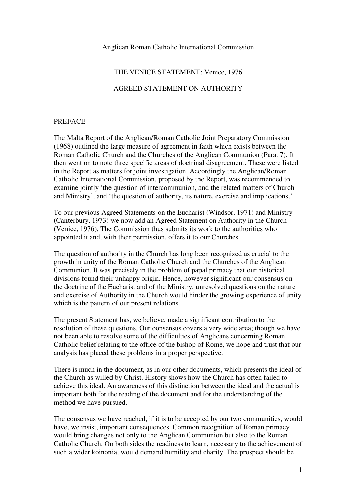### Anglican Roman Catholic International Commission

# THE VENICE STATEMENT: Venice, 1976

# AGREED STATEMENT ON AUTHORITY

## PREFACE

The Malta Report of the Anglican/Roman Catholic Joint Preparatory Commission (1968) outlined the large measure of agreement in faith which exists between the Roman Catholic Church and the Churches of the Anglican Communion (Para. 7). It then went on to note three specific areas of doctrinal disagreement. These were listed in the Report as matters for joint investigation. Accordingly the Anglican/Roman Catholic International Commission, proposed by the Report, was recommended to examine jointly 'the question of intercommunion, and the related matters of Church and Ministry', and 'the question of authority, its nature, exercise and implications.'

To our previous Agreed Statements on the Eucharist (Windsor, 1971) and Ministry (Canterbury, 1973) we now add an Agreed Statement on Authority in the Church (Venice, 1976). The Commission thus submits its work to the authorities who appointed it and, with their permission, offers it to our Churches.

The question of authority in the Church has long been recognized as crucial to the growth in unity of the Roman Catholic Church and the Churches of the Anglican Communion. It was precisely in the problem of papal primacy that our historical divisions found their unhappy origin. Hence, however significant our consensus on the doctrine of the Eucharist and of the Ministry, unresolved questions on the nature and exercise of Authority in the Church would hinder the growing experience of unity which is the pattern of our present relations.

The present Statement has, we believe, made a significant contribution to the resolution of these questions. Our consensus covers a very wide area; though we have not been able to resolve some of the difficulties of Anglicans concerning Roman Catholic belief relating to the office of the bishop of Rome, we hope and trust that our analysis has placed these problems in a proper perspective.

There is much in the document, as in our other documents, which presents the ideal of the Church as willed by Christ. History shows how the Church has often failed to achieve this ideal. An awareness of this distinction between the ideal and the actual is important both for the reading of the document and for the understanding of the method we have pursued.

The consensus we have reached, if it is to be accepted by our two communities, would have, we insist, important consequences. Common recognition of Roman primacy would bring changes not only to the Anglican Communion but also to the Roman Catholic Church. On both sides the readiness to learn, necessary to the achievement of such a wider koinonia, would demand humility and charity. The prospect should be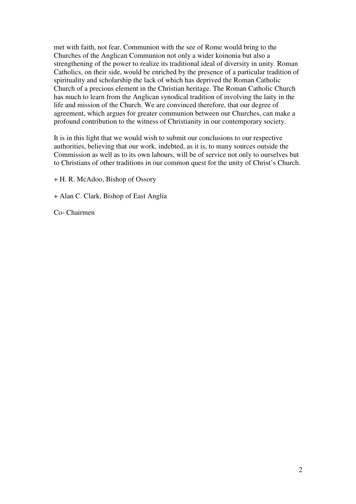met with faith, not fear. Communion with the see of Rome would bring to the Churches of the Anglican Communion not only a wider koinonia but also a strengthening of the power to realize its traditional ideal of diversity in unity. Roman Catholics, on their side, would be enriched by the presence of a particular tradition of spirituality and scholarship the lack of which has deprived the Roman Catholic Church of a precious element in the Christian heritage. The Roman Catholic Church has much to learn from the Anglican synodical tradition of involving the laity in the life and mission of the Church. We are convinced therefore, that our degree of agreement, which argues for greater communion between our Churches, can make a profound contribution to the witness of Christianity in our contemporary society.

It is in this light that we would wish to submit our conclusions to our respective authorities, believing that our work, indebted, as it is, to many sources outside the Commission as well as to its own labours, will be of service not only to ourselves but to Christians of other traditions in our common quest for the unity of Christ's Church.

+ H. R. McAdoo, Bishop of Ossory

+ Alan C. Clark, Bishop of East Anglia

Co- Chairmen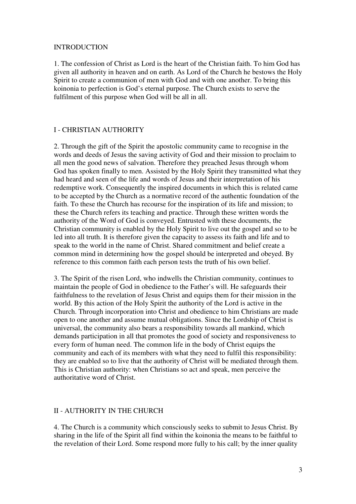## INTRODUCTION

1. The confession of Christ as Lord is the heart of the Christian faith. To him God has given all authority in heaven and on earth. As Lord of the Church he bestows the Holy Spirit to create a communion of men with God and with one another. To bring this koinonia to perfection is God's eternal purpose. The Church exists to serve the fulfilment of this purpose when God will be all in all.

# I - CHRISTIAN AUTHORITY

2. Through the gift of the Spirit the apostolic community came to recognise in the words and deeds of Jesus the saving activity of God and their mission to proclaim to all men the good news of salvation. Therefore they preached Jesus through whom God has spoken finally to men. Assisted by the Holy Spirit they transmitted what they had heard and seen of the life and words of Jesus and their interpretation of his redemptive work. Consequently the inspired documents in which this is related came to be accepted by the Church as a normative record of the authentic foundation of the faith. To these the Church has recourse for the inspiration of its life and mission; to these the Church refers its teaching and practice. Through these written words the authority of the Word of God is conveyed. Entrusted with these documents, the Christian community is enabled by the Holy Spirit to live out the gospel and so to be led into all truth. It is therefore given the capacity to assess its faith and life and to speak to the world in the name of Christ. Shared commitment and belief create a common mind in determining how the gospel should be interpreted and obeyed. By reference to this common faith each person tests the truth of his own belief.

3. The Spirit of the risen Lord, who indwells the Christian community, continues to maintain the people of God in obedience to the Father's will. He safeguards their faithfulness to the revelation of Jesus Christ and equips them for their mission in the world. By this action of the Holy Spirit the authority of the Lord is active in the Church. Through incorporation into Christ and obedience to him Christians are made open to one another and assume mutual obligations. Since the Lordship of Christ is universal, the community also bears a responsibility towards all mankind, which demands participation in all that promotes the good of society and responsiveness to every form of human need. The common life in the body of Christ equips the community and each of its members with what they need to fulfil this responsibility: they are enabled so to live that the authority of Christ will be mediated through them. This is Christian authority: when Christians so act and speak, men perceive the authoritative word of Christ.

# II - AUTHORITY IN THE CHURCH

4. The Church is a community which consciously seeks to submit to Jesus Christ. By sharing in the life of the Spirit all find within the koinonia the means to be faithful to the revelation of their Lord. Some respond more fully to his call; by the inner quality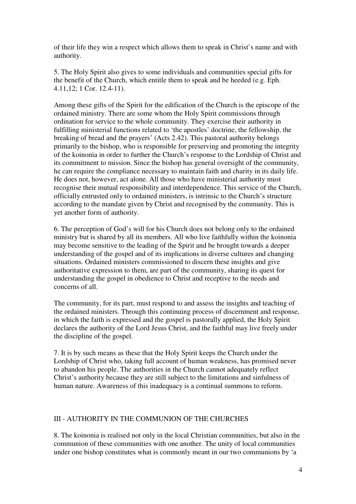of their life they win a respect which allows them to speak in Christ's name and with authority.

5. The Holy Spirit also gives to some individuals and communities special gifts for the benefit of the Church, which entitle them to speak and be heeded (e.g. Eph. 4.11,12; 1 Cor. 12.4-11).

Among these gifts of the Spirit for the edification of the Church is the episcope of the ordained ministry. There are some whom the Holy Spirit commissions through ordination for service to the whole community. They exercise their authority in fulfilling ministerial functions related to 'the apostles' doctrine, the fellowship, the breaking of bread and the prayers' (Acts 2.42). This pastoral authority belongs primarily to the bishop, who is responsible for preserving and promoting the integrity of the koinonia in order to further the Church's response to the Lordship of Christ and its commitment to mission. Since the bishop has general oversight of the community, he can require the compliance necessary to maintain faith and charity in its daily life. He does not, however, act alone. All those who have ministerial authority must recognise their mutual responsibility and interdependence. This service of the Church, officially entrusted only to ordained ministers, is intrinsic to the Church's structure according to the mandate given by Christ and recognised by the community. This is yet another form of authority.

6. The perception of God's will for his Church does not belong only to the ordained ministry but is shared by all its members. All who live faithfully within the koinonia may become sensitive to the leading of the Spirit and be brought towards a deeper understanding of the gospel and of its implications in diverse cultures and changing situations. Ordained ministers commissioned to discern these insights and give authoritative expression to them, are part of the community, sharing its quest for understanding the gospel in obedience to Christ and receptive to the needs and concerns of all.

The community, for its part, must respond to and assess the insights and teaching of the ordained ministers. Through this continuing process of discernment and response, in which the faith is expressed and the gospel is pastorally applied, the Holy Spirit declares the authority of the Lord Jesus Christ, and the faithful may live freely under the discipline of the gospel.

7. It is by such means as these that the Holy Spirit keeps the Church under the Lordship of Christ who, taking full account of human weakness, has promised never to abandon his people. The authorities in the Church cannot adequately reflect Christ's authority because they are still subject to the limitations and sinfulness of human nature. Awareness of this inadequacy is a continual summons to reform.

# III - AUTHORITY IN THE COMMUNION OF THE CHURCHES

8. The koinonia is realised not only in the local Christian communities, but also in the communion of these communities with one another. The unity of local communities under one bishop constitutes what is commonly meant in our two communions by 'a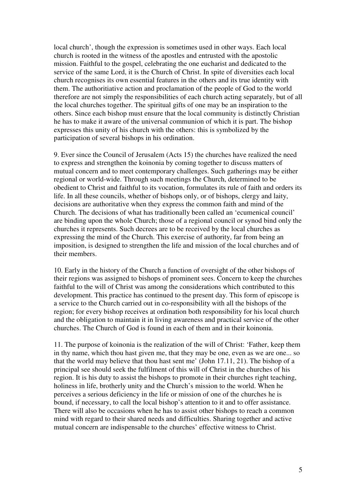local church', though the expression is sometimes used in other ways. Each local church is rooted in the witness of the apostles and entrusted with the apostolic mission. Faithful to the gospel, celebrating the one eucharist and dedicated to the service of the same Lord, it is the Church of Christ. In spite of diversities each local church recognises its own essential features in the others and its true identity with them. The authoritiative action and proclamation of the people of God to the world therefore are not simply the responsibilities of each church acting separately, but of all the local churches together. The spiritual gifts of one may be an inspiration to the others. Since each bishop must ensure that the local community is distinctly Christian he has to make it aware of the universal communion of which it is part. The bishop expresses this unity of his church with the others: this is symbolized by the participation of several bishops in his ordination.

9. Ever since the Council of Jerusalem (Acts 15) the churches have realized the need to express and strengthen the koinonia by coming together to discuss matters of mutual concern and to meet contemporary challenges. Such gatherings may be either regional or world-wide. Through such meetings the Church, determined to be obedient to Christ and faithful to its vocation, formulates its rule of faith and orders its life. In all these councils, whether of bishops only, or of bishops, clergy and laity, decisions are authoritative when they express the common faith and mind of the Church. The decisions of what has traditionally been called an 'ecumenical council' are binding upon the whole Church; those of a regional council or synod bind only the churches it represents. Such decrees are to be received by the local churches as expressing the mind of the Church. This exercise of authority, far from being an imposition, is designed to strengthen the life and mission of the local churches and of their members.

10. Early in the history of the Church a function of oversight of the other bishops of their regions was assigned to bishops of prominent sees. Concern to keep the churches faithful to the will of Christ was among the considerations which contributed to this development. This practice has continued to the present day. This form of episcope is a service to the Church carried out in co-responsibility with all the bishops of the region; for every bishop receives at ordination both responsibility for his local church and the obligation to maintain it in living awareness and practical service of the other churches. The Church of God is found in each of them and in their koinonia.

11. The purpose of koinonia is the realization of the will of Christ: 'Father, keep them in thy name, which thou hast given me, that they may be one, even as we are one... so that the world may believe that thou hast sent me' (John 17.11, 21). The bishop of a principal see should seek the fulfilment of this will of Christ in the churches of his region. It is his duty to assist the bishops to promote in their churches right teaching, holiness in life, brotherly unity and the Church's mission to the world. When he perceives a serious deficiency in the life or mission of one of the churches he is bound, if necessary, to call the local bishop's attention to it and to offer assistance. There will also be occasions when he has to assist other bishops to reach a common mind with regard to their shared needs and difficulties. Sharing together and active mutual concern are indispensable to the churches' effective witness to Christ.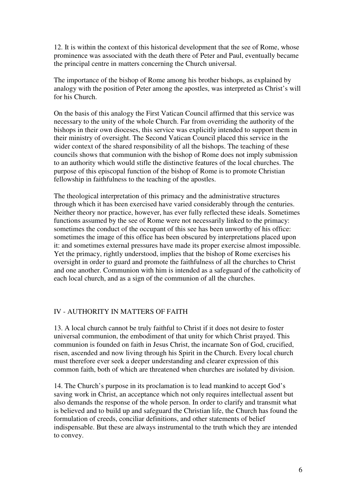12. It is within the context of this historical development that the see of Rome, whose prominence was associated with the death there of Peter and Paul, eventually became the principal centre in matters concerning the Church universal.

The importance of the bishop of Rome among his brother bishops, as explained by analogy with the position of Peter among the apostles, was interpreted as Christ's will for his Church.

On the basis of this analogy the First Vatican Council affirmed that this service was necessary to the unity of the whole Church. Far from overriding the authority of the bishops in their own dioceses, this service was explicitly intended to support them in their ministry of oversight. The Second Vatican Council placed this service in the wider context of the shared responsibility of all the bishops. The teaching of these councils shows that communion with the bishop of Rome does not imply submission to an authority which would stifle the distinctive features of the local churches. The purpose of this episcopal function of the bishop of Rome is to promote Christian fellowship in faithfulness to the teaching of the apostles.

The theological interpretation of this primacy and the administrative structures through which it has been exercised have varied considerably through the centuries. Neither theory nor practice, however, has ever fully reflected these ideals. Sometimes functions assumed by the see of Rome were not necessarily linked to the primacy: sometimes the conduct of the occupant of this see has been unworthy of his office: sometimes the image of this office has been obscured by interpretations placed upon it: and sometimes external pressures have made its proper exercise almost impossible. Yet the primacy, rightly understood, implies that the bishop of Rome exercises his oversight in order to guard and promote the faithfulness of all the churches to Christ and one another. Communion with him is intended as a safeguard of the catholicity of each local church, and as a sign of the communion of all the churches.

# IV - AUTHORITY IN MATTERS OF FAITH

13. A local church cannot be truly faithful to Christ if it does not desire to foster universal communion, the embodiment of that unity for which Christ prayed. This communion is founded on faith in Jesus Christ, the incarnate Son of God, crucified, risen, ascended and now living through his Spirit in the Church. Every local church must therefore ever seek a deeper understanding and clearer expression of this common faith, both of which are threatened when churches are isolated by division.

14. The Church's purpose in its proclamation is to lead mankind to accept God's saving work in Christ, an acceptance which not only requires intellectual assent but also demands the response of the whole person. In order to clarify and transmit what is believed and to build up and safeguard the Christian life, the Church has found the formulation of creeds, conciliar definitions, and other statements of belief indispensable. But these are always instrumental to the truth which they are intended to convey.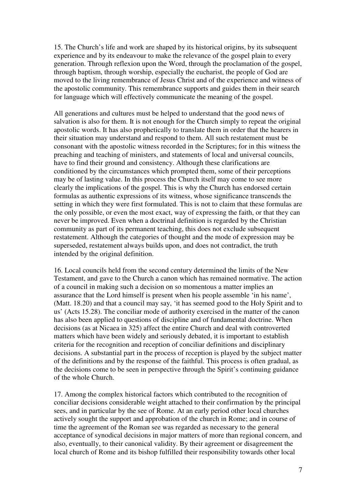15. The Church's life and work are shaped by its historical origins, by its subsequent experience and by its endeavour to make the relevance of the gospel plain to every generation. Through reflexion upon the Word, through the proclamation of the gospel, through baptism, through worship, especially the eucharist, the people of God are moved to the living remembrance of Jesus Christ and of the experience and witness of the apostolic community. This remembrance supports and guides them in their search for language which will effectively communicate the meaning of the gospel.

All generations and cultures must be helped to understand that the good news of salvation is also for them. It is not enough for the Church simply to repeat the original apostolic words. It has also prophetically to translate them in order that the hearers in their situation may understand and respond to them. All such restatement must be consonant with the apostolic witness recorded in the Scriptures; for in this witness the preaching and teaching of ministers, and statements of local and universal councils, have to find their ground and consistency. Although these clarifications are conditioned by the circumstances which prompted them, some of their perceptions may be of lasting value. In this process the Church itself may come to see more clearly the implications of the gospel. This is why the Church has endorsed certain formulas as authentic expressions of its witness, whose significance transcends the setting in which they were first formulated. This is not to claim that these formulas are the only possible, or even the most exact, way of expressing the faith, or that they can never be improved. Even when a doctrinal definition is regarded by the Christian community as part of its permanent teaching, this does not exclude subsequent restatement. Although the categories of thought and the mode of expression may be superseded, restatement always builds upon, and does not contradict, the truth intended by the original definition.

16. Local councils held from the second century determined the limits of the New Testament, and gave to the Church a canon which has remained normative. The action of a council in making such a decision on so momentous a matter implies an assurance that the Lord himself is present when his people assemble 'in his name', (Matt. 18.20) and that a council may say, 'it has seemed good to the Holy Spirit and to us' (Acts 15.28). The conciliar mode of authority exercised in the matter of the canon has also been applied to questions of discipline and of fundamental doctrine. When decisions (as at Nicaea in 325) affect the entire Church and deal with controverted matters which have been widely and seriously debated, it is important to establish criteria for the recognition and reception of conciliar definitions and disciplinary decisions. A substantial part in the process of reception is played by the subject matter of the definitions and by the response of the faithful. This process is often gradual, as the decisions come to be seen in perspective through the Spirit's continuing guidance of the whole Church.

17. Among the complex historical factors which contributed to the recognition of conciliar decisions considerable weight attached to their confirmation by the principal sees, and in particular by the see of Rome. At an early period other local churches actively sought the support and approbation of the church in Rome; and in course of time the agreement of the Roman see was regarded as necessary to the general acceptance of synodical decisions in major matters of more than regional concern, and also, eventually, to their canonical validity. By their agreement or disagreement the local church of Rome and its bishop fulfilled their responsibility towards other local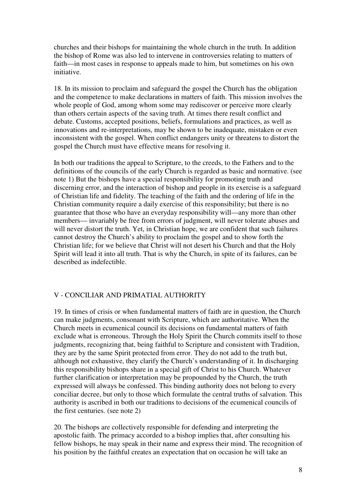churches and their bishops for maintaining the whole church in the truth. In addition the bishop of Rome was also led to intervene in controversies relating to matters of faith—in most cases in response to appeals made to him, but sometimes on his own initiative.

18. In its mission to proclaim and safeguard the gospel the Church has the obligation and the competence to make declarations in matters of faith. This mission involves the whole people of God, among whom some may rediscover or perceive more clearly than others certain aspects of the saving truth. At times there result conflict and debate. Customs, accepted positions, beliefs, formulations and practices, as well as innovations and re-interpretations, may be shown to be inadequate, mistaken or even inconsistent with the gospel. When conflict endangers unity or threatens to distort the gospel the Church must have effective means for resolving it.

In both our traditions the appeal to Scripture, to the creeds, to the Fathers and to the definitions of the councils of the early Church is regarded as basic and normative. (see note 1) But the bishops have a special responsibility for promoting truth and discerning error, and the interaction of bishop and people in its exercise is a safeguard of Christian life and fidelity. The teaching of the faith and the ordering of life in the Christian community require a daily exercise of this responsibility; but there is no guarantee that those who have an everyday responsibility will—any more than other members— invariably be free from errors of judgment, will never tolerate abuses and will never distort the truth. Yet, in Christian hope, we are confident that such failures cannot destroy the Church's ability to proclaim the gospel and to show forth the Christian life; for we believe that Christ will not desert his Church and that the Holy Spirit will lead it into all truth. That is why the Church, in spite of its failures, can be described as indefectible.

# V - CONCILIAR AND PRIMATIAL AUTHORITY

19. In times of crisis or when fundamental matters of faith are in question, the Church can make judgments, consonant with Scripture, which are authoritative. When the Church meets in ecumenical council its decisions on fundamental matters of faith exclude what is erroneous. Through the Holy Spirit the Church commits itself to those judgments, recognizing that, being faithful to Scripture and consistent with Tradition, they are by the same Spirit protected from error. They do not add to the truth but, although not exhaustive, they clarify the Church's understanding of it. In discharging this responsibility bishops share in a special gift of Christ to his Church. Whatever further clarification or interpretation may be propounded by the Church, the truth expressed will always be confessed. This binding authority does not belong to every conciliar decree, but only to those which formulate the central truths of salvation. This authority is ascribed in both our traditions to decisions of the ecumenical councils of the first centuries. (see note 2)

20. The bishops are collectively responsible for defending and interpreting the apostolic faith. The primacy accorded to a bishop implies that, after consulting his fellow bishops, he may speak in their name and express their mind. The recognition of his position by the faithful creates an expectation that on occasion he will take an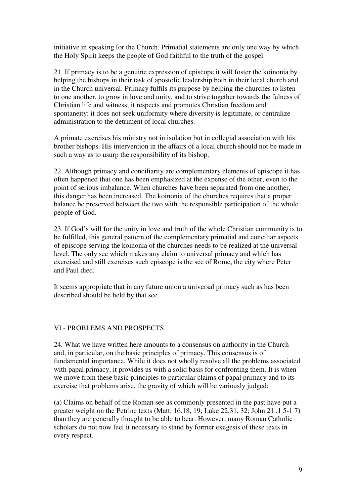initiative in speaking for the Church. Primatial statements are only one way by which the Holy Spirit keeps the people of God faithful to the truth of the gospel.

21. If primacy is to be a genuine expression of episcope it will foster the koinonia by helping the bishops in their task of apostolic leadership both in their local church and in the Church universal. Primacy fulfils its purpose by helping the churches to listen to one another, to grow in love and unity, and to strive together towards the fulness of Christian life and witness; it respects and promotes Christian freedom and spontaneity; it does not seek uniformity where diversity is legitimate, or centralize administration to the detriment of local churches.

A primate exercises his ministry not in isolation but in collegial association with his brother bishops. His intervention in the affairs of a local church should not be made in such a way as to usurp the responsibility of its bishop.

22. Although primacy and conciliarity are complementary elements of episcope it has often happened that one has been emphasized at the expense of the other, even to the point of serious imbalance. When churches have been separated from one another, this danger has been increased. The koinonia of the churches requires that a proper balance be preserved between the two with the responsible participation of the whole people of God.

23. If God's will for the unity in love and truth of the whole Christian community is to be fulfilled, this general pattern of the complementary primatial and conciliar aspects of episcope serving the koinonia of the churches needs to be realized at the universal level. The only see which makes any claim to universal primacy and which has exercised and still exercises such episcope is the see of Rome, the city where Peter and Paul died.

It seems appropriate that in any future union a universal primacy such as has been described should be held by that see.

# VI - PROBLEMS AND PROSPECTS

24. What we have written here amounts to a consensus on authority in the Church and, in particular, on the basic principles of primacy. This consensus is of fundamental importance. While it does not wholly resolve all the problems associated with papal primacy, it provides us with a solid basis for confronting them. It is when we move from these basic principles to particular claims of papal primacy and to its exercise that problems arise, the gravity of which will be variously judged:

(a) Claims on behalf of the Roman see as commonly presented in the past have put a greater weight on the Petrine texts (Matt. 16.18, 19; Luke 22.31, 32; John 21 .1 5-1 7) than they are generally thought to be able to bear. However, many Roman Catholic scholars do not now feel it necessary to stand by former exegesis of these texts in every respect.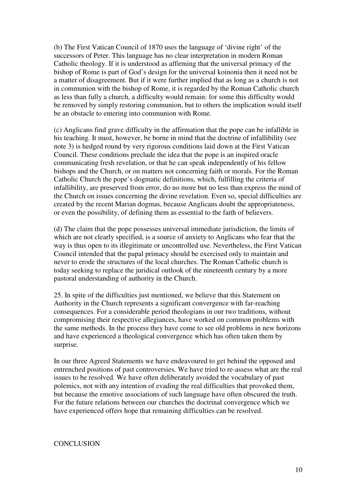(b) The First Vatican Council of 1870 uses the language of 'divine right' of the successors of Peter. This language has no clear interpretation in modern Roman Catholic theology. If it is understood as affirming that the universal primacy of the bishop of Rome is part of God's design for the universal koinonia then it need not be a matter of disagreement. But if it were further implied that as long as a church is not in communion with the bishop of Rome, it is regarded by the Roman Catholic church as less than fully a church, a difficulty would remain: for some this difficulty would be removed by simply restoring communion, but to others the implication would itself be an obstacle to entering into communion with Rome.

(c) Anglicans find grave difficulty in the affirmation that the pope can be infallible in his teaching. It must, however, be borne in mind that the doctrine of infallibility (see note 3) is hedged round by very rigorous conditions laid down at the First Vatican Council. These conditions preclude the idea that the pope is an inspired oracle communicating fresh revelation, or that he can speak independently of his fellow bishops and the Church, or on matters not concerning faith or morals. For the Roman Catholic Church the pope's dogmatic definitions, which, fulfilling the criteria of infallibility, are preserved from error, do no more but no less than express the mind of the Church on issues concerning the divine revelation. Even so, special difficulties are created by the recent Marian dogmas, because Anglicans doubt the appropriateness, or even the possibility, of defining them as essential to the faith of believers.

(d) The claim that the pope possesses universal immediate jurisdiction, the limits of which are not clearly specified, is a source of anxiety to Anglicans who fear that the way is thus open to its illegitimate or uncontrolled use. Nevertheless, the First Vatican Council intended that the papal primacy should be exercised only to maintain and never to erode the structures of the local churches. The Roman Catholic church is today seeking to replace the juridical outlook of the nineteenth century by a more pastoral understanding of authority in the Church.

25. In spite of the difficulties just mentioned, we believe that this Statement on Authority in the Church represents a significant convergence with far-reaching consequences. For a considerable period theologians in our two traditions, without compromising their respective allegiances, have worked on common problems with the same methods. In the process they have come to see old problems in new horizons and have experienced a theological convergence which has often taken them by surprise.

In our three Agreed Statements we have endeavoured to get behind the opposed and entrenched positions of past controversies. We have tried to re-assess what are the real issues to be resolved. We have often deliberately avoided the vocabulary of past polemics, not with any intention of evading the real difficulties that provoked them, but because the emotive associations of such language have often obscured the truth. For the future relations between our churches the doctrinal convergence which we have experienced offers hope that remaining difficulties can be resolved.

#### **CONCLUSION**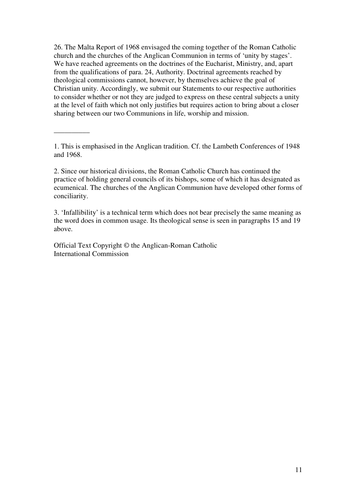26. The Malta Report of 1968 envisaged the coming together of the Roman Catholic church and the churches of the Anglican Communion in terms of 'unity by stages'. We have reached agreements on the doctrines of the Eucharist, Ministry, and, apart from the qualifications of para. 24, Authority. Doctrinal agreements reached by theological commissions cannot, however, by themselves achieve the goal of Christian unity. Accordingly, we submit our Statements to our respective authorities to consider whether or not they are judged to express on these central subjects a unity at the level of faith which not only justifies but requires action to bring about a closer sharing between our two Communions in life, worship and mission.

1. This is emphasised in the Anglican tradition. Cf. the Lambeth Conferences of 1948 and 1968.

2. Since our historical divisions, the Roman Catholic Church has continued the practice of holding general councils of its bishops, some of which it has designated as ecumenical. The churches of the Anglican Communion have developed other forms of conciliarity.

3. 'Infallibility' is a technical term which does not bear precisely the same meaning as the word does in common usage. Its theological sense is seen in paragraphs 15 and 19 above.

Official Text Copyright © the Anglican-Roman Catholic International Commission

\_\_\_\_\_\_\_\_\_\_